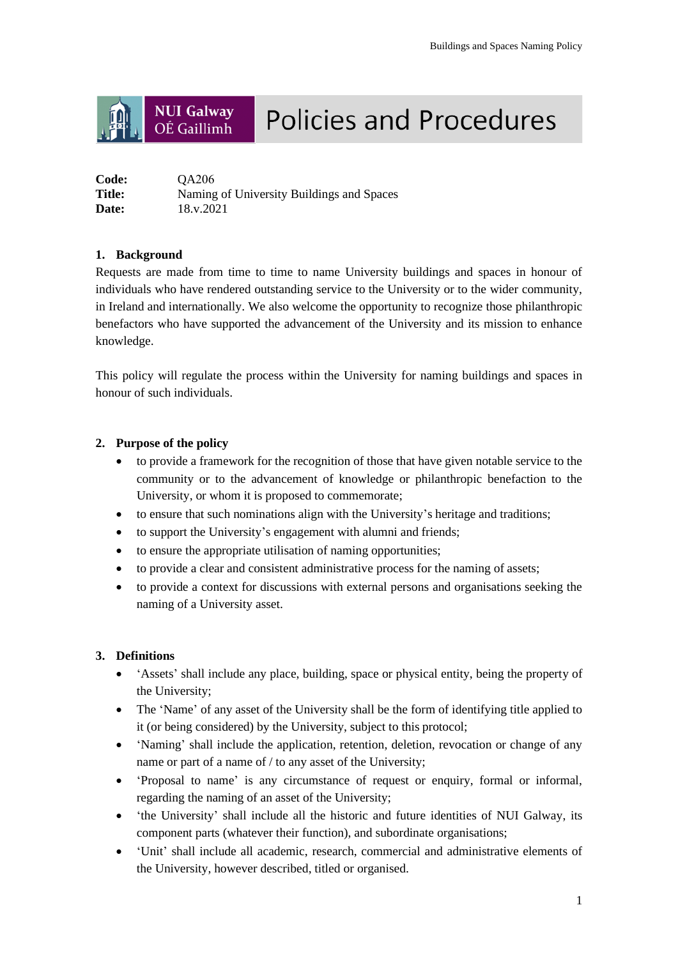#### **NUI Galway Policies and Procedures** OÉ Gaillimh

| Code:        | <b>OA206</b>                              |
|--------------|-------------------------------------------|
| Title:       | Naming of University Buildings and Spaces |
| <b>Date:</b> | 18.v.2021                                 |

# **1. Background**

Requests are made from time to time to name University buildings and spaces in honour of individuals who have rendered outstanding service to the University or to the wider community, in Ireland and internationally. We also welcome the opportunity to recognize those philanthropic benefactors who have supported the advancement of the University and its mission to enhance knowledge.

This policy will regulate the process within the University for naming buildings and spaces in honour of such individuals.

# **2. Purpose of the policy**

- to provide a framework for the recognition of those that have given notable service to the community or to the advancement of knowledge or philanthropic benefaction to the University, or whom it is proposed to commemorate;
- to ensure that such nominations align with the University's heritage and traditions;
- to support the University's engagement with alumni and friends;
- to ensure the appropriate utilisation of naming opportunities;
- to provide a clear and consistent administrative process for the naming of assets;
- to provide a context for discussions with external persons and organisations seeking the naming of a University asset.

# **3. Definitions**

- 'Assets' shall include any place, building, space or physical entity, being the property of the University;
- The 'Name' of any asset of the University shall be the form of identifying title applied to it (or being considered) by the University, subject to this protocol;
- 'Naming' shall include the application, retention, deletion, revocation or change of any name or part of a name of / to any asset of the University;
- 'Proposal to name' is any circumstance of request or enquiry, formal or informal, regarding the naming of an asset of the University;
- the University' shall include all the historic and future identities of NUI Galway, its component parts (whatever their function), and subordinate organisations;
- 'Unit' shall include all academic, research, commercial and administrative elements of the University, however described, titled or organised.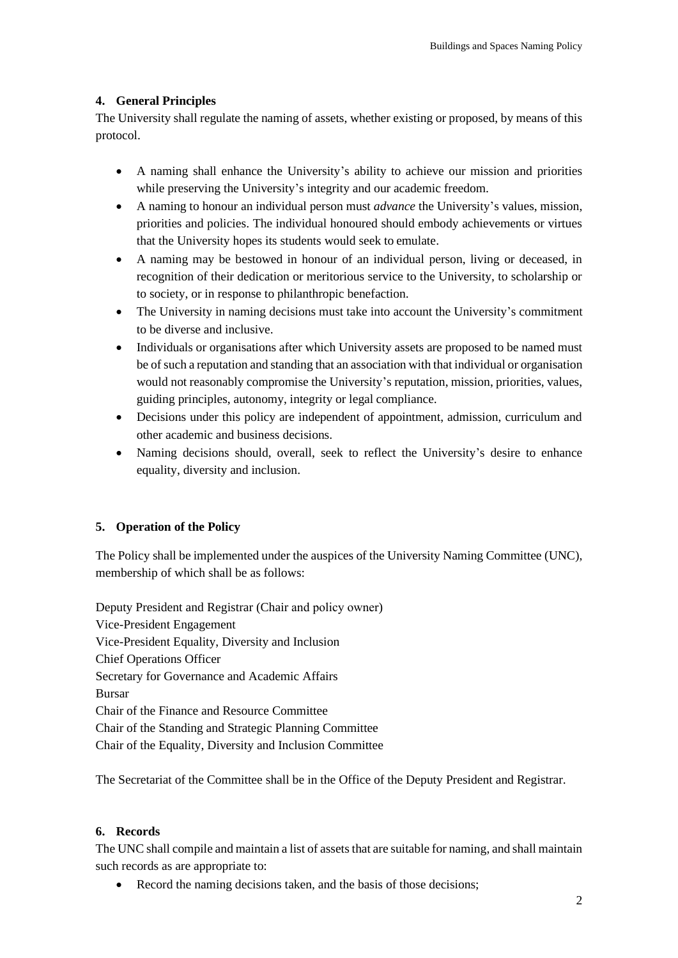# **4. General Principles**

The University shall regulate the naming of assets, whether existing or proposed, by means of this protocol.

- A naming shall enhance the University's ability to achieve our mission and priorities while preserving the University's integrity and our academic freedom.
- A naming to honour an individual person must *advance* the University's values, mission, priorities and policies. The individual honoured should embody achievements or virtues that the University hopes its students would seek to emulate.
- A naming may be bestowed in honour of an individual person, living or deceased, in recognition of their dedication or meritorious service to the University, to scholarship or to society, or in response to philanthropic benefaction.
- The University in naming decisions must take into account the University's commitment to be diverse and inclusive.
- Individuals or organisations after which University assets are proposed to be named must be of such a reputation and standing that an association with that individual or organisation would not reasonably compromise the University's reputation, mission, priorities, values, guiding principles, autonomy, integrity or legal compliance.
- Decisions under this policy are independent of appointment, admission, curriculum and other academic and business decisions.
- Naming decisions should, overall, seek to reflect the University's desire to enhance equality, diversity and inclusion.

# **5. Operation of the Policy**

The Policy shall be implemented under the auspices of the University Naming Committee (UNC), membership of which shall be as follows:

Deputy President and Registrar (Chair and policy owner) Vice-President Engagement Vice-President Equality, Diversity and Inclusion Chief Operations Officer Secretary for Governance and Academic Affairs Bursar Chair of the Finance and Resource Committee Chair of the Standing and Strategic Planning Committee Chair of the Equality, Diversity and Inclusion Committee

The Secretariat of the Committee shall be in the Office of the Deputy President and Registrar.

# **6. Records**

The UNC shall compile and maintain a list of assets that are suitable for naming, and shall maintain such records as are appropriate to:

• Record the naming decisions taken, and the basis of those decisions;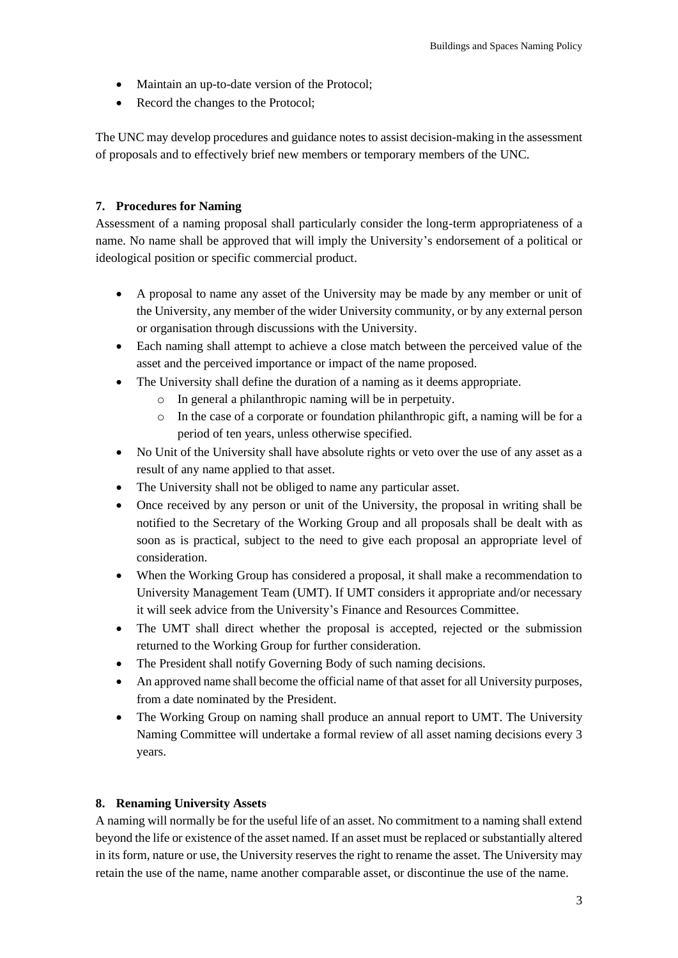- Maintain an up-to-date version of the Protocol;
- Record the changes to the Protocol;

The UNC may develop procedures and guidance notes to assist decision-making in the assessment of proposals and to effectively brief new members or temporary members of the UNC.

# **7. Procedures for Naming**

Assessment of a naming proposal shall particularly consider the long-term appropriateness of a name. No name shall be approved that will imply the University's endorsement of a political or ideological position or specific commercial product.

- A proposal to name any asset of the University may be made by any member or unit of the University, any member of the wider University community, or by any external person or organisation through discussions with the University.
- Each naming shall attempt to achieve a close match between the perceived value of the asset and the perceived importance or impact of the name proposed.
- The University shall define the duration of a naming as it deems appropriate.
	- o In general a philanthropic naming will be in perpetuity.
	- o In the case of a corporate or foundation philanthropic gift, a naming will be for a period of ten years, unless otherwise specified.
- No Unit of the University shall have absolute rights or veto over the use of any asset as a result of any name applied to that asset.
- The University shall not be obliged to name any particular asset.
- Once received by any person or unit of the University, the proposal in writing shall be notified to the Secretary of the Working Group and all proposals shall be dealt with as soon as is practical, subject to the need to give each proposal an appropriate level of consideration.
- When the Working Group has considered a proposal, it shall make a recommendation to University Management Team (UMT). If UMT considers it appropriate and/or necessary it will seek advice from the University's Finance and Resources Committee.
- The UMT shall direct whether the proposal is accepted, rejected or the submission returned to the Working Group for further consideration.
- The President shall notify Governing Body of such naming decisions.
- An approved name shall become the official name of that asset for all University purposes, from a date nominated by the President.
- The Working Group on naming shall produce an annual report to UMT. The University Naming Committee will undertake a formal review of all asset naming decisions every 3 years.

# **8. Renaming University Assets**

A naming will normally be for the useful life of an asset. No commitment to a naming shall extend beyond the life or existence of the asset named. If an asset must be replaced or substantially altered in its form, nature or use, the University reserves the right to rename the asset. The University may retain the use of the name, name another comparable asset, or discontinue the use of the name.